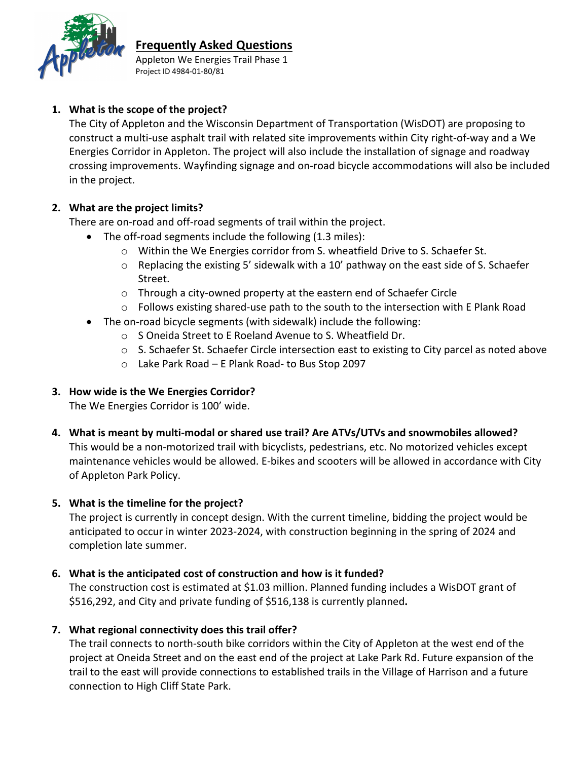

### **Frequently Asked Questions**

Appleton We Energies Trail Phase 1 Project ID 4984‐01‐80/81

## **1. What is the scope of the project?**

The City of Appleton and the Wisconsin Department of Transportation (WisDOT) are proposing to construct a multi‐use asphalt trail with related site improvements within City right‐of‐way and a We Energies Corridor in Appleton. The project will also include the installation of signage and roadway crossing improvements. Wayfinding signage and on‐road bicycle accommodations will also be included in the project.

## **2. What are the project limits?**

There are on‐road and off‐road segments of trail within the project.

- The off-road segments include the following (1.3 miles):
	- $\circ$  Within the We Energies corridor from S. wheatfield Drive to S. Schaefer St.
	- o Replacing the existing 5' sidewalk with a 10' pathway on the east side of S. Schaefer Street.
	- o Through a city‐owned property at the eastern end of Schaefer Circle
	- o Follows existing shared‐use path to the south to the intersection with E Plank Road
- The on-road bicycle segments (with sidewalk) include the following:
	- o S Oneida Street to E Roeland Avenue to S. Wheatfield Dr.
	- $\circ$  S. Schaefer St. Schaefer Circle intersection east to existing to City parcel as noted above
	- o Lake Park Road E Plank Road‐ to Bus Stop 2097

# **3. How wide is the We Energies Corridor?**

The We Energies Corridor is 100' wide.

**4. What is meant by multi‐modal or shared use trail? Are ATVs/UTVs and snowmobiles allowed?**  This would be a non‐motorized trail with bicyclists, pedestrians, etc. No motorized vehicles except maintenance vehicles would be allowed. E‐bikes and scooters will be allowed in accordance with City of Appleton Park Policy.

# **5. What is the timeline for the project?**

The project is currently in concept design. With the current timeline, bidding the project would be anticipated to occur in winter 2023‐2024, with construction beginning in the spring of 2024 and completion late summer.

### **6. What is the anticipated cost of construction and how is it funded?**

The construction cost is estimated at \$1.03 million. Planned funding includes a WisDOT grant of \$516,292, and City and private funding of \$516,138 is currently planned**.**

# **7. What regional connectivity does this trail offer?**

The trail connects to north‐south bike corridors within the City of Appleton at the west end of the project at Oneida Street and on the east end of the project at Lake Park Rd. Future expansion of the trail to the east will provide connections to established trails in the Village of Harrison and a future connection to High Cliff State Park.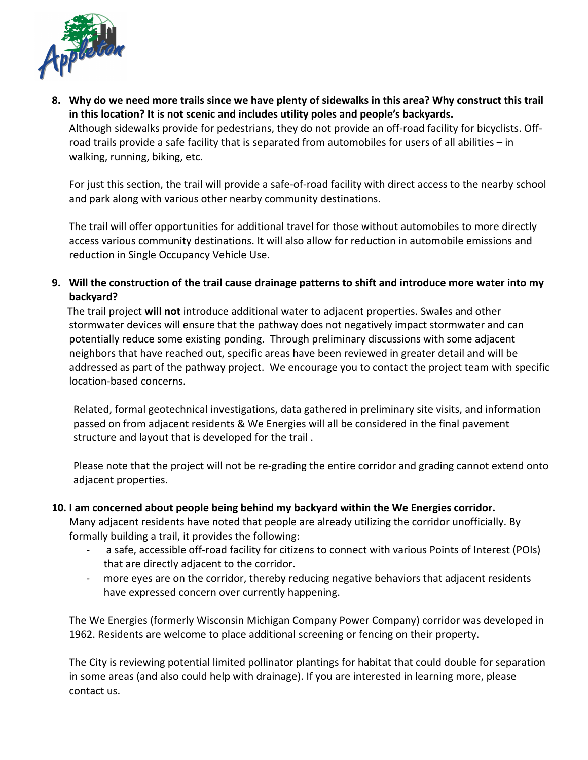

8. Why do we need more trails since we have plenty of sidewalks in this area? Why construct this trail **in this location? It is not scenic and includes utility poles and people's backyards.**  Although sidewalks provide for pedestrians, they do not provide an off‐road facility for bicyclists. Off‐ road trails provide a safe facility that is separated from automobiles for users of all abilities – in walking, running, biking, etc.

For just this section, the trail will provide a safe‐of‐road facility with direct access to the nearby school and park along with various other nearby community destinations.

The trail will offer opportunities for additional travel for those without automobiles to more directly access various community destinations. It will also allow for reduction in automobile emissions and reduction in Single Occupancy Vehicle Use.

9. Will the construction of the trail cause drainage patterns to shift and introduce more water into my **backyard?** 

The trail project **will not** introduce additional water to adjacent properties. Swales and other stormwater devices will ensure that the pathway does not negatively impact stormwater and can potentially reduce some existing ponding. Through preliminary discussions with some adjacent neighbors that have reached out, specific areas have been reviewed in greater detail and will be addressed as part of the pathway project. We encourage you to contact the project team with specific location‐based concerns.

Related, formal geotechnical investigations, data gathered in preliminary site visits, and information passed on from adjacent residents & We Energies will all be considered in the final pavement structure and layout that is developed for the trail .

Please note that the project will not be re‐grading the entire corridor and grading cannot extend onto adjacent properties.

#### **10. I am concerned about people being behind my backyard within the We Energies corridor.**

Many adjacent residents have noted that people are already utilizing the corridor unofficially. By formally building a trail, it provides the following:

- ‐ a safe, accessible off‐road facility for citizens to connect with various Points of Interest (POIs) that are directly adjacent to the corridor.
- more eyes are on the corridor, thereby reducing negative behaviors that adjacent residents have expressed concern over currently happening.

The We Energies (formerly Wisconsin Michigan Company Power Company) corridor was developed in 1962. Residents are welcome to place additional screening or fencing on their property.

The City is reviewing potential limited pollinator plantings for habitat that could double for separation in some areas (and also could help with drainage). If you are interested in learning more, please contact us.